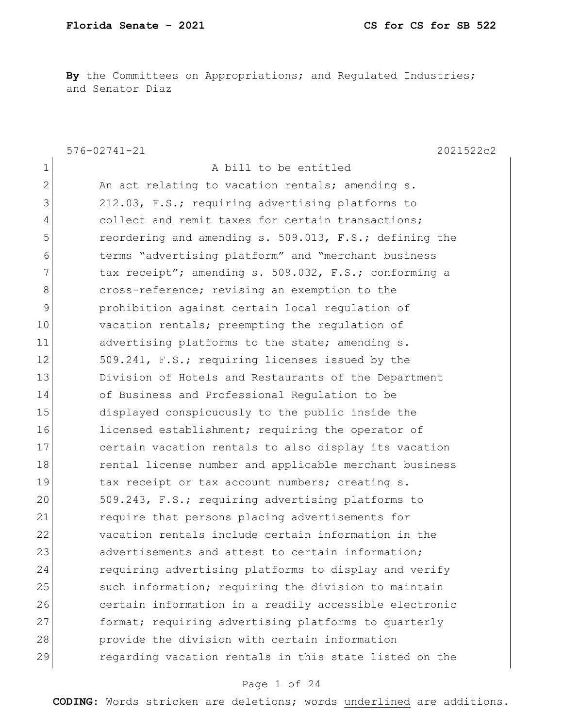**By** the Committees on Appropriations; and Regulated Industries; and Senator Diaz

576-02741-21 2021522c2 1 a bill to be entitled 2 An act relating to vacation rentals; amending s. 3 212.03, F.S.; requiring advertising platforms to 4 collect and remit taxes for certain transactions; 5 reordering and amending s. 509.013, F.S.; defining the 6 terms "advertising platform" and "merchant business 7 tax receipt"; amending s. 509.032, F.S.; conforming a 8 cross-reference; revising an exemption to the 9 prohibition against certain local regulation of 10 vacation rentals; preempting the regulation of 11 advertising platforms to the state; amending s. 12 509.241, F.S.; requiring licenses issued by the 13 Division of Hotels and Restaurants of the Department 14 of Business and Professional Regulation to be 15 displayed conspicuously to the public inside the 16 licensed establishment; requiring the operator of 17 certain vacation rentals to also display its vacation 18 rental license number and applicable merchant business 19 tax receipt or tax account numbers; creating s. 20 509.243, F.S.; requiring advertising platforms to 21 require that persons placing advertisements for 22 vacation rentals include certain information in the 23 advertisements and attest to certain information: 24 requiring advertising platforms to display and verify 25 such information; requiring the division to maintain 26 certain information in a readily accessible electronic 27 format; requiring advertising platforms to quarterly 28 provide the division with certain information 29 regarding vacation rentals in this state listed on the

#### Page 1 of 24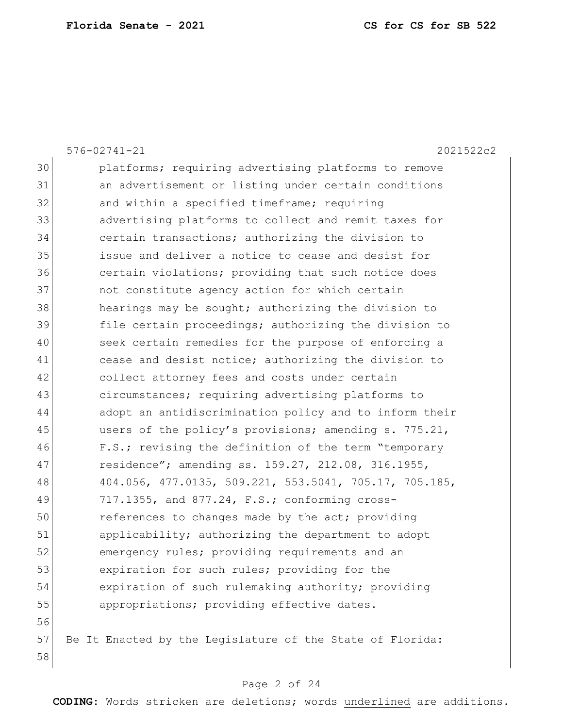|    | $576 - 02741 - 21$<br>2021522c2                           |
|----|-----------------------------------------------------------|
| 30 | platforms; requiring advertising platforms to remove      |
| 31 | an advertisement or listing under certain conditions      |
| 32 | and within a specified timeframe; requiring               |
| 33 | advertising platforms to collect and remit taxes for      |
| 34 | certain transactions; authorizing the division to         |
| 35 | issue and deliver a notice to cease and desist for        |
| 36 | certain violations; providing that such notice does       |
| 37 | not constitute agency action for which certain            |
| 38 | hearings may be sought; authorizing the division to       |
| 39 | file certain proceedings; authorizing the division to     |
| 40 | seek certain remedies for the purpose of enforcing a      |
| 41 | cease and desist notice; authorizing the division to      |
| 42 | collect attorney fees and costs under certain             |
| 43 | circumstances; requiring advertising platforms to         |
| 44 | adopt an antidiscrimination policy and to inform their    |
| 45 | users of the policy's provisions; amending s. 775.21,     |
| 46 | F.S.; revising the definition of the term "temporary      |
| 47 | residence"; amending ss. 159.27, 212.08, 316.1955,        |
| 48 | 404.056, 477.0135, 509.221, 553.5041, 705.17, 705.185,    |
| 49 | 717.1355, and 877.24, F.S.; conforming cross-             |
| 50 | references to changes made by the act; providing          |
| 51 | applicability; authorizing the department to adopt        |
| 52 | emergency rules; providing requirements and an            |
| 53 | expiration for such rules; providing for the              |
| 54 | expiration of such rulemaking authority; providing        |
| 55 | appropriations; providing effective dates.                |
| 56 |                                                           |
| 57 | Be It Enacted by the Legislature of the State of Florida: |
| 58 |                                                           |

# Page 2 of 24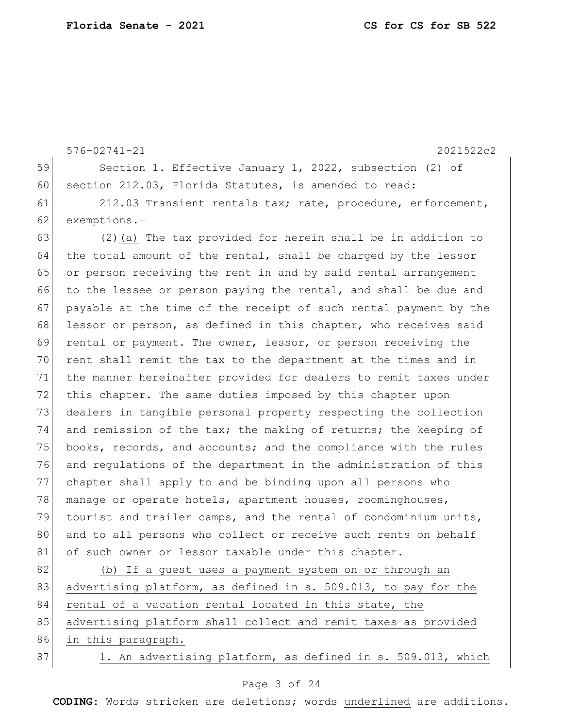576-02741-21 2021522c2 59 Section 1. Effective January 1, 2022, subsection (2) of 60 section 212.03, Florida Statutes, is amended to read: 61 212.03 Transient rentals tax; rate, procedure, enforcement, 62 exemptions.-63 (2)(a) The tax provided for herein shall be in addition to 64 the total amount of the rental, shall be charged by the lessor 65 or person receiving the rent in and by said rental arrangement 66 to the lessee or person paying the rental, and shall be due and 67 payable at the time of the receipt of such rental payment by the 68 lessor or person, as defined in this chapter, who receives said 69 rental or payment. The owner, lessor, or person receiving the 70 rent shall remit the tax to the department at the times and in 71 the manner hereinafter provided for dealers to remit taxes under 72 this chapter. The same duties imposed by this chapter upon 73 dealers in tangible personal property respecting the collection 74 and remission of the tax; the making of returns; the keeping of 75 books, records, and accounts; and the compliance with the rules 76 and regulations of the department in the administration of this 77 chapter shall apply to and be binding upon all persons who 78 manage or operate hotels, apartment houses, roominghouses, 79 tourist and trailer camps, and the rental of condominium units, 80 and to all persons who collect or receive such rents on behalf 81 of such owner or lessor taxable under this chapter. 82 (b) If a guest uses a payment system on or through an 83 advertising platform, as defined in s. 509.013, to pay for the

84 rental of a vacation rental located in this state, the 85 advertising platform shall collect and remit taxes as provided

86 in this paragraph.

87 1. An advertising platform, as defined in s. 509.013, which

### Page 3 of 24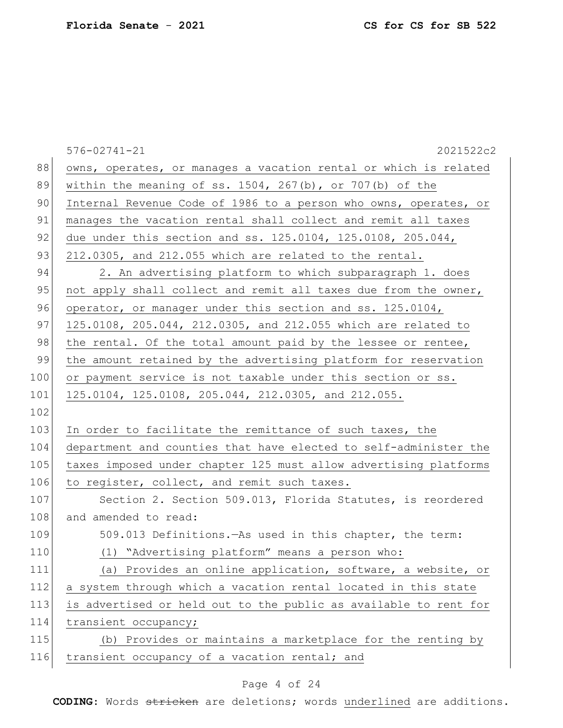|     | $576 - 02741 - 21$<br>2021522c2                                  |
|-----|------------------------------------------------------------------|
| 88  | owns, operates, or manages a vacation rental or which is related |
| 89  | within the meaning of ss. $1504$ , $267(b)$ , or $707(b)$ of the |
| 90  | Internal Revenue Code of 1986 to a person who owns, operates, or |
| 91  | manages the vacation rental shall collect and remit all taxes    |
| 92  | due under this section and ss. 125.0104, 125.0108, 205.044,      |
| 93  | 212.0305, and 212.055 which are related to the rental.           |
| 94  | 2. An advertising platform to which subparagraph 1. does         |
| 95  | not apply shall collect and remit all taxes due from the owner,  |
| 96  | operator, or manager under this section and ss. 125.0104,        |
| 97  | 125.0108, 205.044, 212.0305, and 212.055 which are related to    |
| 98  | the rental. Of the total amount paid by the lessee or rentee,    |
| 99  | the amount retained by the advertising platform for reservation  |
| 100 | or payment service is not taxable under this section or ss.      |
| 101 | 125.0104, 125.0108, 205.044, 212.0305, and 212.055.              |
| 102 |                                                                  |
| 103 | In order to facilitate the remittance of such taxes, the         |
| 104 | department and counties that have elected to self-administer the |
| 105 | taxes imposed under chapter 125 must allow advertising platforms |
| 106 | to register, collect, and remit such taxes.                      |
| 107 | Section 2. Section 509.013, Florida Statutes, is reordered       |
| 108 | and amended to read:                                             |
| 109 | 509.013 Definitions. - As used in this chapter, the term:        |
| 110 | (1) "Advertising platform" means a person who:                   |
| 111 | (a) Provides an online application, software, a website, or      |
| 112 | a system through which a vacation rental located in this state   |
| 113 | is advertised or held out to the public as available to rent for |
| 114 | transient occupancy;                                             |
| 115 | (b) Provides or maintains a marketplace for the renting by       |
| 116 | transient occupancy of a vacation rental; and                    |
|     |                                                                  |

# Page 4 of 24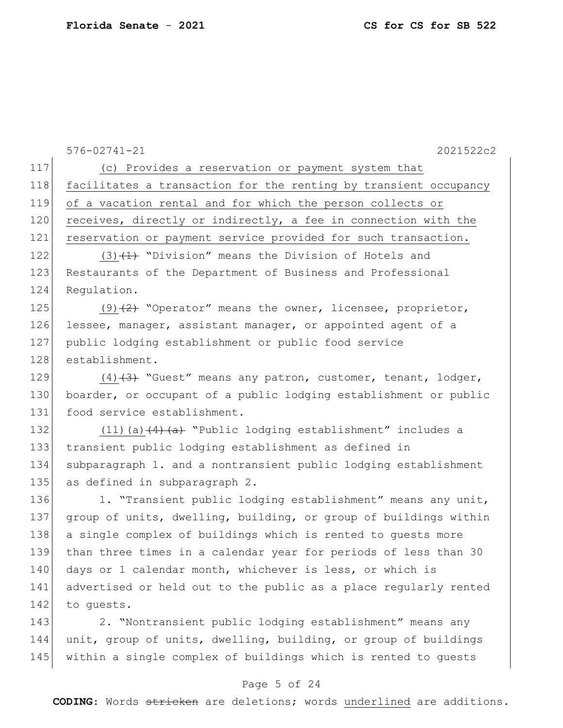576-02741-21 2021522c2 117 (c) Provides a reservation or payment system that 118 facilitates a transaction for the renting by transient occupancy 119 of a vacation rental and for which the person collects or 120 receives, directly or indirectly, a fee in connection with the 121 reservation or payment service provided for such transaction. 122 (3)  $(1)$  "Division" means the Division of Hotels and 123 Restaurants of the Department of Business and Professional 124 Requiation. 125 (9) $(2)$  "Operator" means the owner, licensee, proprietor, 126 lessee, manager, assistant manager, or appointed agent of a 127 public lodging establishment or public food service 128 establishment. 129  $(4)$   $(3)$  "Guest" means any patron, customer, tenant, lodger, 130 boarder, or occupant of a public lodging establishment or public 131 food service establishment. 132 (11)(a) (4) (a) "Public lodging establishment" includes a 133 transient public lodging establishment as defined in 134 subparagraph 1. and a nontransient public lodging establishment 135 as defined in subparagraph 2. 136 1. "Transient public lodging establishment" means any unit, 137 group of units, dwelling, building, or group of buildings within 138 a single complex of buildings which is rented to guests more 139 than three times in a calendar year for periods of less than 30 140 days or 1 calendar month, whichever is less, or which is 141 advertised or held out to the public as a place regularly rented 142 to quests. 143 2. "Nontransient public lodging establishment" means any 144 unit, group of units, dwelling, building, or group of buildings 145 within a single complex of buildings which is rented to quests

### Page 5 of 24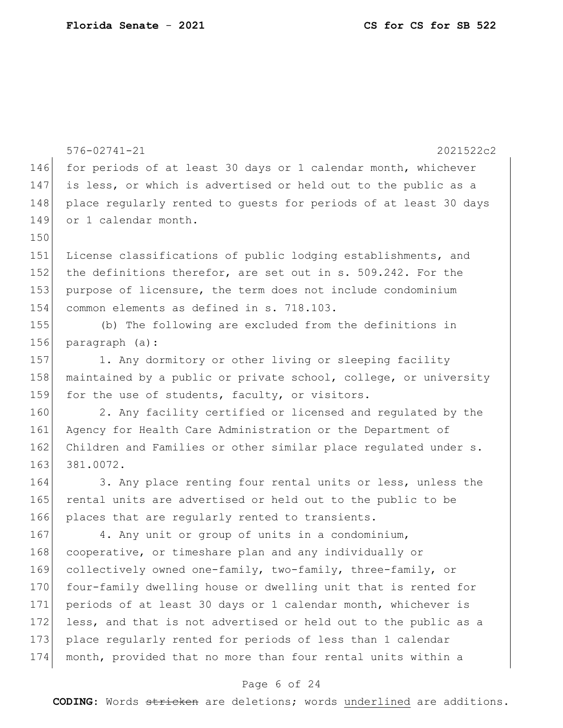|     | $576 - 02741 - 21$<br>2021522c2                                  |  |  |  |  |  |  |  |  |  |  |
|-----|------------------------------------------------------------------|--|--|--|--|--|--|--|--|--|--|
| 146 | for periods of at least 30 days or 1 calendar month, whichever   |  |  |  |  |  |  |  |  |  |  |
| 147 | is less, or which is advertised or held out to the public as a   |  |  |  |  |  |  |  |  |  |  |
| 148 | place reqularly rented to guests for periods of at least 30 days |  |  |  |  |  |  |  |  |  |  |
| 149 | or 1 calendar month.                                             |  |  |  |  |  |  |  |  |  |  |
| 150 |                                                                  |  |  |  |  |  |  |  |  |  |  |
| 151 | License classifications of public lodging establishments, and    |  |  |  |  |  |  |  |  |  |  |
| 152 | the definitions therefor, are set out in s. 509.242. For the     |  |  |  |  |  |  |  |  |  |  |
| 153 | purpose of licensure, the term does not include condominium      |  |  |  |  |  |  |  |  |  |  |
| 154 | common elements as defined in s. 718.103.                        |  |  |  |  |  |  |  |  |  |  |
| 155 | (b) The following are excluded from the definitions in           |  |  |  |  |  |  |  |  |  |  |
| 156 | paragraph (a):                                                   |  |  |  |  |  |  |  |  |  |  |
| 157 | 1. Any dormitory or other living or sleeping facility            |  |  |  |  |  |  |  |  |  |  |
| 158 | maintained by a public or private school, college, or university |  |  |  |  |  |  |  |  |  |  |
| 159 | for the use of students, faculty, or visitors.                   |  |  |  |  |  |  |  |  |  |  |
| 160 | 2. Any facility certified or licensed and regulated by the       |  |  |  |  |  |  |  |  |  |  |
| 161 | Agency for Health Care Administration or the Department of       |  |  |  |  |  |  |  |  |  |  |
| 162 | Children and Families or other similar place regulated under s.  |  |  |  |  |  |  |  |  |  |  |
| 163 | 381.0072.                                                        |  |  |  |  |  |  |  |  |  |  |
| 164 | 3. Any place renting four rental units or less, unless the       |  |  |  |  |  |  |  |  |  |  |
| 165 | rental units are advertised or held out to the public to be      |  |  |  |  |  |  |  |  |  |  |
| 166 | places that are regularly rented to transients.                  |  |  |  |  |  |  |  |  |  |  |
| 167 | 4. Any unit or group of units in a condominium,                  |  |  |  |  |  |  |  |  |  |  |
| 168 | cooperative, or timeshare plan and any individually or           |  |  |  |  |  |  |  |  |  |  |
| 169 | collectively owned one-family, two-family, three-family, or      |  |  |  |  |  |  |  |  |  |  |
| 170 | four-family dwelling house or dwelling unit that is rented for   |  |  |  |  |  |  |  |  |  |  |
| 171 | periods of at least 30 days or 1 calendar month, whichever is    |  |  |  |  |  |  |  |  |  |  |
| 172 | less, and that is not advertised or held out to the public as a  |  |  |  |  |  |  |  |  |  |  |
| 173 | place regularly rented for periods of less than 1 calendar       |  |  |  |  |  |  |  |  |  |  |
| 174 | month, provided that no more than four rental units within a     |  |  |  |  |  |  |  |  |  |  |

# Page 6 of 24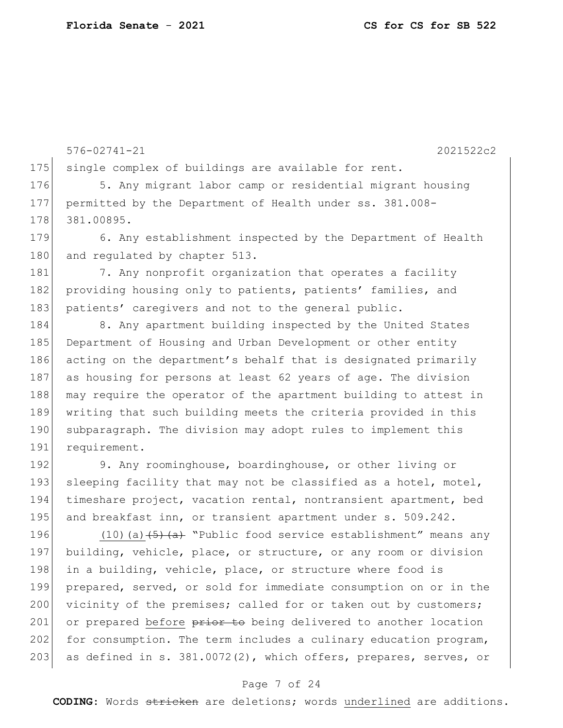175 single complex of buildings are available for rent. 176 5. Any migrant labor camp or residential migrant housing 177 permitted by the Department of Health under ss. 381.008- 178 381.00895. 179 6. Any establishment inspected by the Department of Health 180 and regulated by chapter 513. 181 7. Any nonprofit organization that operates a facility 182 providing housing only to patients, patients' families, and 183 patients' caregivers and not to the general public. 184 8. Any apartment building inspected by the United States 185 Department of Housing and Urban Development or other entity 186 acting on the department's behalf that is designated primarily 187 as housing for persons at least 62 years of age. The division 188 may require the operator of the apartment building to attest in 189 writing that such building meets the criteria provided in this 190 subparagraph. The division may adopt rules to implement this 191 requirement. 192 9. Any roominghouse, boardinghouse, or other living or 193 sleeping facility that may not be classified as a hotel, motel, 194 timeshare project, vacation rental, nontransient apartment, bed 195 and breakfast inn, or transient apartment under s. 509.242. 196 (10)(a) (5) (a) "Public food service establishment" means any 197 building, vehicle, place, or structure, or any room or division 198 in a building, vehicle, place, or structure where food is 199 prepared, served, or sold for immediate consumption on or in the 200 vicinity of the premises; called for or taken out by customers; 201 or prepared before prior to being delivered to another location 202 for consumption. The term includes a culinary education program, 203 as defined in s. 381.0072(2), which offers, prepares, serves, or

576-02741-21 2021522c2

### Page 7 of 24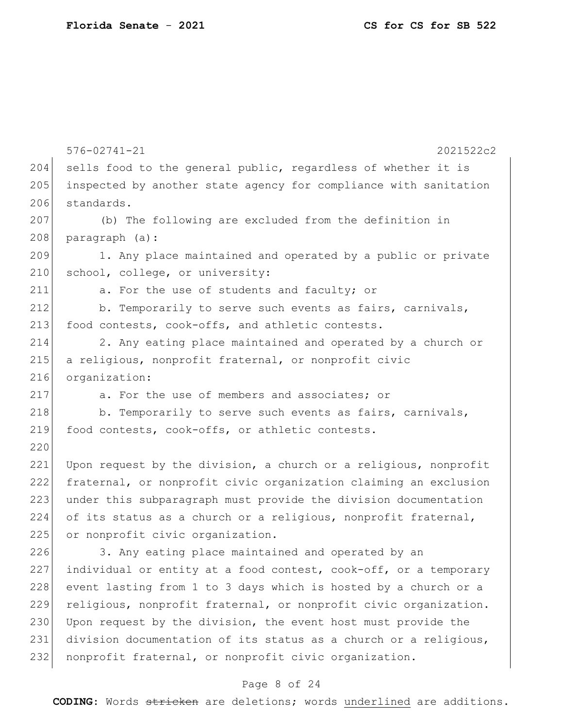|     | $576 - 02741 - 21$<br>2021522c2                                  |  |  |  |  |  |  |  |  |  |  |  |
|-----|------------------------------------------------------------------|--|--|--|--|--|--|--|--|--|--|--|
| 204 | sells food to the general public, regardless of whether it is    |  |  |  |  |  |  |  |  |  |  |  |
| 205 | inspected by another state agency for compliance with sanitation |  |  |  |  |  |  |  |  |  |  |  |
| 206 | standards.                                                       |  |  |  |  |  |  |  |  |  |  |  |
| 207 | (b) The following are excluded from the definition in            |  |  |  |  |  |  |  |  |  |  |  |
| 208 | paragraph (a):                                                   |  |  |  |  |  |  |  |  |  |  |  |
| 209 | 1. Any place maintained and operated by a public or private      |  |  |  |  |  |  |  |  |  |  |  |
| 210 | school, college, or university:                                  |  |  |  |  |  |  |  |  |  |  |  |
| 211 | a. For the use of students and faculty; or                       |  |  |  |  |  |  |  |  |  |  |  |
| 212 | b. Temporarily to serve such events as fairs, carnivals,         |  |  |  |  |  |  |  |  |  |  |  |
| 213 | food contests, cook-offs, and athletic contests.                 |  |  |  |  |  |  |  |  |  |  |  |
| 214 | 2. Any eating place maintained and operated by a church or       |  |  |  |  |  |  |  |  |  |  |  |
| 215 | a religious, nonprofit fraternal, or nonprofit civic             |  |  |  |  |  |  |  |  |  |  |  |
| 216 | organization:                                                    |  |  |  |  |  |  |  |  |  |  |  |
| 217 | a. For the use of members and associates; or                     |  |  |  |  |  |  |  |  |  |  |  |
| 218 | b. Temporarily to serve such events as fairs, carnivals,         |  |  |  |  |  |  |  |  |  |  |  |
| 219 | food contests, cook-offs, or athletic contests.                  |  |  |  |  |  |  |  |  |  |  |  |
| 220 |                                                                  |  |  |  |  |  |  |  |  |  |  |  |
| 221 | Upon request by the division, a church or a religious, nonprofit |  |  |  |  |  |  |  |  |  |  |  |
| 222 | fraternal, or nonprofit civic organization claiming an exclusion |  |  |  |  |  |  |  |  |  |  |  |
| 223 | under this subparagraph must provide the division documentation  |  |  |  |  |  |  |  |  |  |  |  |
| 224 | of its status as a church or a religious, nonprofit fraternal,   |  |  |  |  |  |  |  |  |  |  |  |
| 225 | or nonprofit civic organization.                                 |  |  |  |  |  |  |  |  |  |  |  |
| 226 | 3. Any eating place maintained and operated by an                |  |  |  |  |  |  |  |  |  |  |  |
| 227 | individual or entity at a food contest, cook-off, or a temporary |  |  |  |  |  |  |  |  |  |  |  |
| 228 | event lasting from 1 to 3 days which is hosted by a church or a  |  |  |  |  |  |  |  |  |  |  |  |
| 229 | religious, nonprofit fraternal, or nonprofit civic organization. |  |  |  |  |  |  |  |  |  |  |  |
| 230 | Upon request by the division, the event host must provide the    |  |  |  |  |  |  |  |  |  |  |  |
| 231 | division documentation of its status as a church or a religious, |  |  |  |  |  |  |  |  |  |  |  |
| 232 | nonprofit fraternal, or nonprofit civic organization.            |  |  |  |  |  |  |  |  |  |  |  |

# Page 8 of 24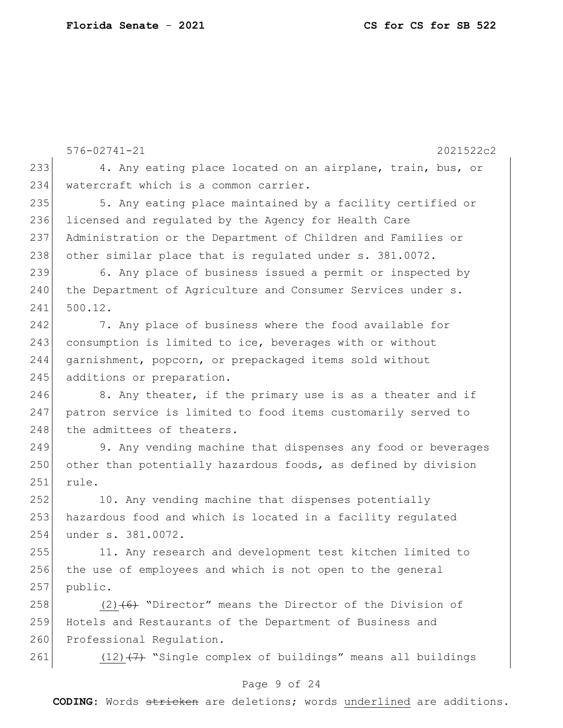576-02741-21 2021522c2 233 4. Any eating place located on an airplane, train, bus, or 234 | watercraft which is a common carrier. 235 5. Any eating place maintained by a facility certified or 236 licensed and regulated by the Agency for Health Care 237 Administration or the Department of Children and Families or 238 other similar place that is requlated under s. 381.0072. 239 6. Any place of business issued a permit or inspected by 240 the Department of Agriculture and Consumer Services under s. 241 500.12. 242 7. Any place of business where the food available for 243 consumption is limited to ice, beverages with or without 244 garnishment, popcorn, or prepackaged items sold without 245 additions or preparation. 246 8. Any theater, if the primary use is as a theater and if 247 patron service is limited to food items customarily served to 248 the admittees of theaters. 249 9. Any vending machine that dispenses any food or beverages 250 other than potentially hazardous foods, as defined by division 251 rule. 252 10. Any vending machine that dispenses potentially 253 hazardous food and which is located in a facility regulated 254 under s. 381.0072. 255 11. Any research and development test kitchen limited to 256 the use of employees and which is not open to the general 257 public. 258 (2) $(6)$  "Director" means the Director of the Division of 259 Hotels and Restaurants of the Department of Business and 260 Professional Regulation. 261  $(12)$   $(7)$  "Single complex of buildings" means all buildings

### Page 9 of 24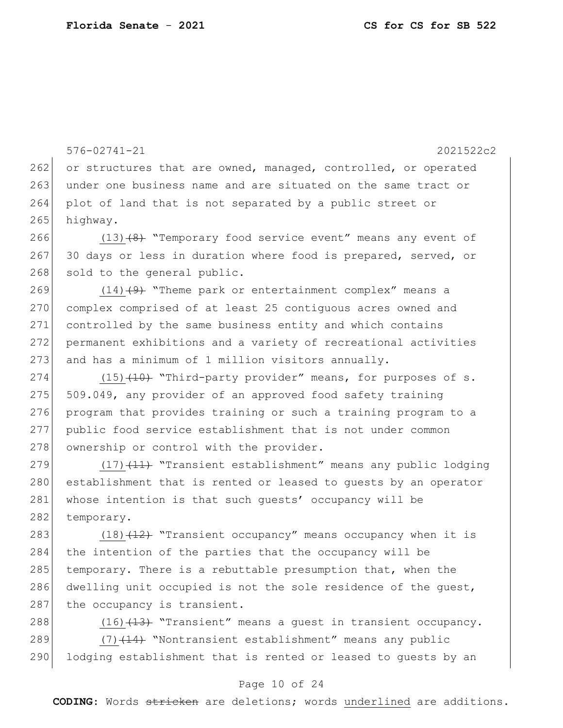576-02741-21 2021522c2 262 or structures that are owned, managed, controlled, or operated 263 under one business name and are situated on the same tract or 264 plot of land that is not separated by a public street or 265 highway. 266 (13)<del>(8)</del> "Temporary food service event" means any event of 267 30 days or less in duration where food is prepared, served, or 268 sold to the general public. 269  $(14)$   $(9)$  "Theme park or entertainment complex" means a 270 complex comprised of at least 25 contiguous acres owned and 271 controlled by the same business entity and which contains 272 permanent exhibitions and a variety of recreational activities  $273$  and has a minimum of 1 million visitors annually. 274 (15)<del>(10)</del> "Third-party provider" means, for purposes of s.  $275$  509.049, any provider of an approved food safety training 276 program that provides training or such a training program to a 277 public food service establishment that is not under common 278 ownership or control with the provider. 279 (17) (11) "Transient establishment" means any public lodging 280 establishment that is rented or leased to guests by an operator 281 whose intention is that such guests' occupancy will be 282 temporary. 283 (18)<del>(12)</del> "Transient occupancy" means occupancy when it is 284 the intention of the parties that the occupancy will be 285 temporary. There is a rebuttable presumption that, when the 286 dwelling unit occupied is not the sole residence of the guest, 287 the occupancy is transient.

288  $(16)$   $(13)$  "Transient" means a quest in transient occupancy. 289 (7)<del>(14)</del> "Nontransient establishment" means any public 290 lodging establishment that is rented or leased to quests by an

#### Page 10 of 24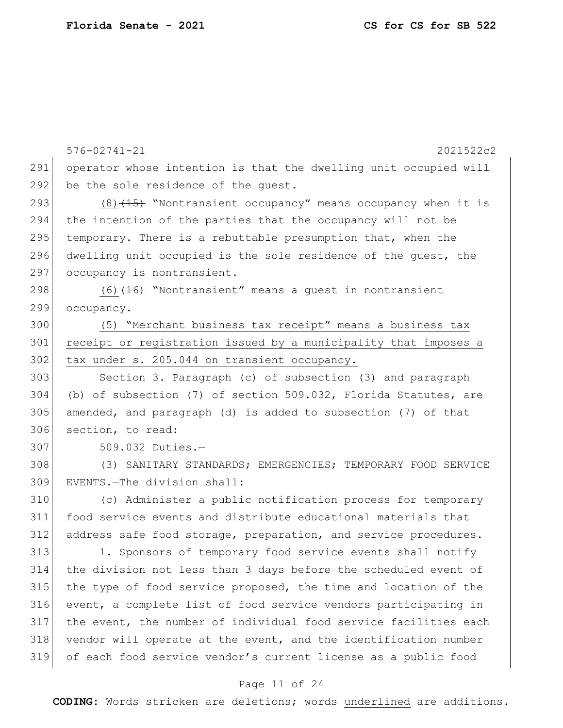576-02741-21 2021522c2 operator whose intention is that the dwelling unit occupied will 292 be the sole residence of the quest.  $(8)$   $(15)$  "Nontransient occupancy" means occupancy when it is the intention of the parties that the occupancy will not be 295 temporary. There is a rebuttable presumption that, when the dwelling unit occupied is the sole residence of the guest, the 297 occupancy is nontransient. 298 (6) (16) "Nontransient" means a guest in nontransient 299 occupancy. (5) "Merchant business tax receipt" means a business tax receipt or registration issued by a municipality that imposes a 302 tax under s. 205.044 on transient occupancy. Section 3. Paragraph (c) of subsection (3) and paragraph (b) of subsection (7) of section 509.032, Florida Statutes, are amended, and paragraph (d) is added to subsection (7) of that section, to read: 509.032 Duties.— (3) SANITARY STANDARDS; EMERGENCIES; TEMPORARY FOOD SERVICE EVENTS.—The division shall: (c) Administer a public notification process for temporary food service events and distribute educational materials that address safe food storage, preparation, and service procedures. 313 1. Sponsors of temporary food service events shall notify the division not less than 3 days before the scheduled event of the type of food service proposed, the time and location of the event, a complete list of food service vendors participating in the event, the number of individual food service facilities each 318 vendor will operate at the event, and the identification number

#### Page 11 of 24

of each food service vendor's current license as a public food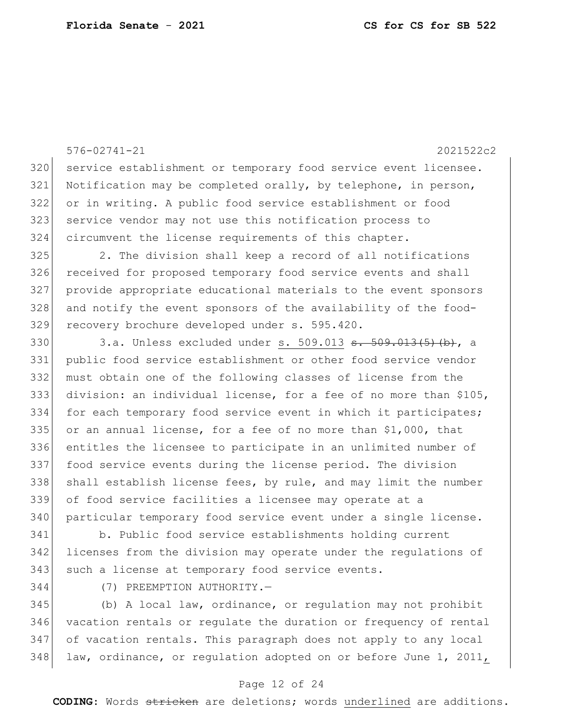576-02741-21 2021522c2 320 service establishment or temporary food service event licensee. Notification may be completed orally, by telephone, in person, or in writing. A public food service establishment or food service vendor may not use this notification process to circumvent the license requirements of this chapter. 2. The division shall keep a record of all notifications 326 received for proposed temporary food service events and shall provide appropriate educational materials to the event sponsors and notify the event sponsors of the availability of the food- recovery brochure developed under s. 595.420. 330 3.a. Unless excluded under s. 509.013 <del>s. 509.013(5)(b)</del>, a public food service establishment or other food service vendor must obtain one of the following classes of license from the division: an individual license, for a fee of no more than \$105, for each temporary food service event in which it participates; 335 or an annual license, for a fee of no more than  $$1,000$ , that entitles the licensee to participate in an unlimited number of food service events during the license period. The division 338 shall establish license fees, by rule, and may limit the number of food service facilities a licensee may operate at a particular temporary food service event under a single license. b. Public food service establishments holding current

 licenses from the division may operate under the regulations of 343 such a license at temporary food service events.

(7) PREEMPTION AUTHORITY.—

 (b) A local law, ordinance, or regulation may not prohibit vacation rentals or regulate the duration or frequency of rental of vacation rentals. This paragraph does not apply to any local 348 law, ordinance, or regulation adopted on or before June 1, 2011,

### Page 12 of 24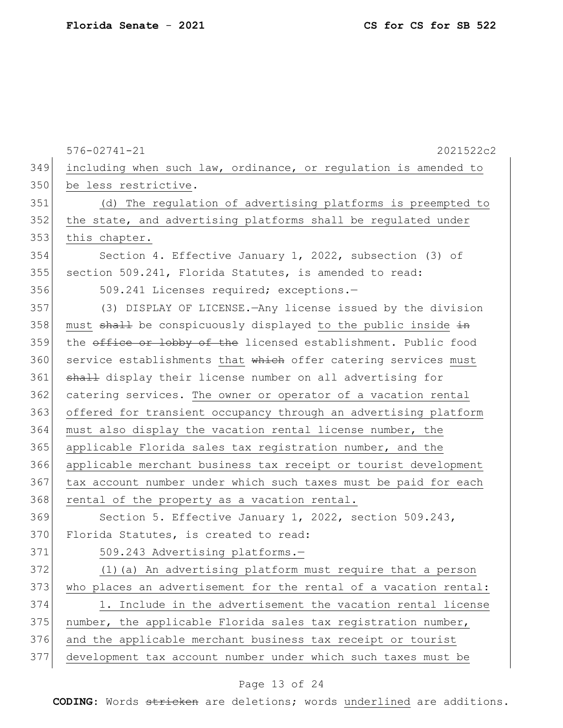|     | $576 - 02741 - 21$<br>2021522c2                                  |  |  |  |  |  |  |  |  |  |  |
|-----|------------------------------------------------------------------|--|--|--|--|--|--|--|--|--|--|
| 349 | including when such law, ordinance, or regulation is amended to  |  |  |  |  |  |  |  |  |  |  |
| 350 | be less restrictive.                                             |  |  |  |  |  |  |  |  |  |  |
| 351 | (d) The regulation of advertising platforms is preempted to      |  |  |  |  |  |  |  |  |  |  |
| 352 | the state, and advertising platforms shall be regulated under    |  |  |  |  |  |  |  |  |  |  |
| 353 | this chapter.                                                    |  |  |  |  |  |  |  |  |  |  |
| 354 | Section 4. Effective January 1, 2022, subsection (3) of          |  |  |  |  |  |  |  |  |  |  |
| 355 | section 509.241, Florida Statutes, is amended to read:           |  |  |  |  |  |  |  |  |  |  |
| 356 | 509.241 Licenses required; exceptions.-                          |  |  |  |  |  |  |  |  |  |  |
| 357 | (3) DISPLAY OF LICENSE. - Any license issued by the division     |  |  |  |  |  |  |  |  |  |  |
| 358 | must shall be conspicuously displayed to the public inside in    |  |  |  |  |  |  |  |  |  |  |
| 359 | the office or lobby of the licensed establishment. Public food   |  |  |  |  |  |  |  |  |  |  |
| 360 | service establishments that which offer catering services must   |  |  |  |  |  |  |  |  |  |  |
| 361 | shall display their license number on all advertising for        |  |  |  |  |  |  |  |  |  |  |
| 362 | catering services. The owner or operator of a vacation rental    |  |  |  |  |  |  |  |  |  |  |
| 363 | offered for transient occupancy through an advertising platform  |  |  |  |  |  |  |  |  |  |  |
| 364 | must also display the vacation rental license number, the        |  |  |  |  |  |  |  |  |  |  |
| 365 | applicable Florida sales tax registration number, and the        |  |  |  |  |  |  |  |  |  |  |
| 366 | applicable merchant business tax receipt or tourist development  |  |  |  |  |  |  |  |  |  |  |
| 367 | tax account number under which such taxes must be paid for each  |  |  |  |  |  |  |  |  |  |  |
| 368 | rental of the property as a vacation rental.                     |  |  |  |  |  |  |  |  |  |  |
| 369 | Section 5. Effective January 1, 2022, section 509.243,           |  |  |  |  |  |  |  |  |  |  |
| 370 | Florida Statutes, is created to read:                            |  |  |  |  |  |  |  |  |  |  |
| 371 | 509.243 Advertising platforms.-                                  |  |  |  |  |  |  |  |  |  |  |
| 372 | (1) (a) An advertising platform must require that a person       |  |  |  |  |  |  |  |  |  |  |
| 373 | who places an advertisement for the rental of a vacation rental: |  |  |  |  |  |  |  |  |  |  |
| 374 | 1. Include in the advertisement the vacation rental license      |  |  |  |  |  |  |  |  |  |  |
| 375 | number, the applicable Florida sales tax registration number,    |  |  |  |  |  |  |  |  |  |  |
| 376 | and the applicable merchant business tax receipt or tourist      |  |  |  |  |  |  |  |  |  |  |
| 377 | development tax account number under which such taxes must be    |  |  |  |  |  |  |  |  |  |  |
|     |                                                                  |  |  |  |  |  |  |  |  |  |  |

# Page 13 of 24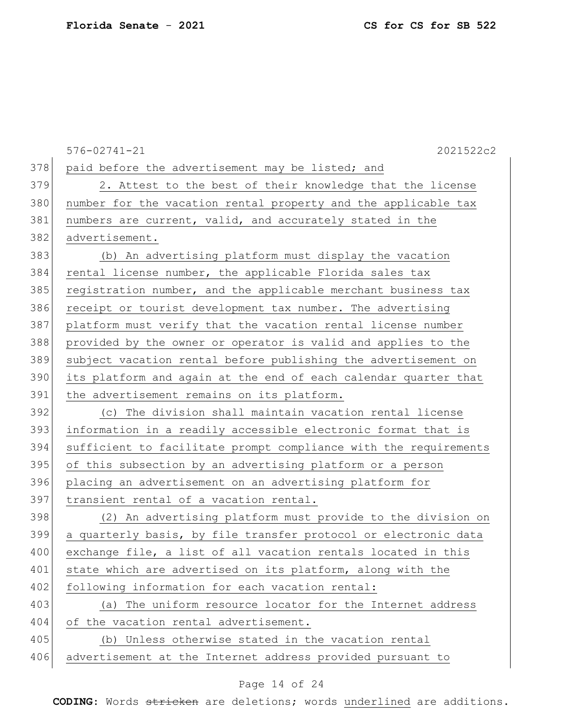576-02741-21 2021522c2 378 paid before the advertisement may be listed; and 379 2. Attest to the best of their knowledge that the license 380 | number for the vacation rental property and the applicable tax 381 | numbers are current, valid, and accurately stated in the 382 advertisement. 383 (b) An advertising platform must display the vacation 384 rental license number, the applicable Florida sales tax 385 registration number, and the applicable merchant business tax 386 receipt or tourist development tax number. The advertising 387 platform must verify that the vacation rental license number 388 provided by the owner or operator is valid and applies to the 389 subject vacation rental before publishing the advertisement on 390 its platform and again at the end of each calendar quarter that 391 the advertisement remains on its platform. 392 (c) The division shall maintain vacation rental license 393 information in a readily accessible electronic format that is 394 sufficient to facilitate prompt compliance with the requirements 395 of this subsection by an advertising platform or a person 396 placing an advertisement on an advertising platform for 397 transient rental of a vacation rental. 398 (2) An advertising platform must provide to the division on 399 a quarterly basis, by file transfer protocol or electronic data 400 exchange file, a list of all vacation rentals located in this 401 state which are advertised on its platform, along with the 402 following information for each vacation rental: 403 (a) The uniform resource locator for the Internet address 404 of the vacation rental advertisement. 405 (b) Unless otherwise stated in the vacation rental 406 advertisement at the Internet address provided pursuant to

### Page 14 of 24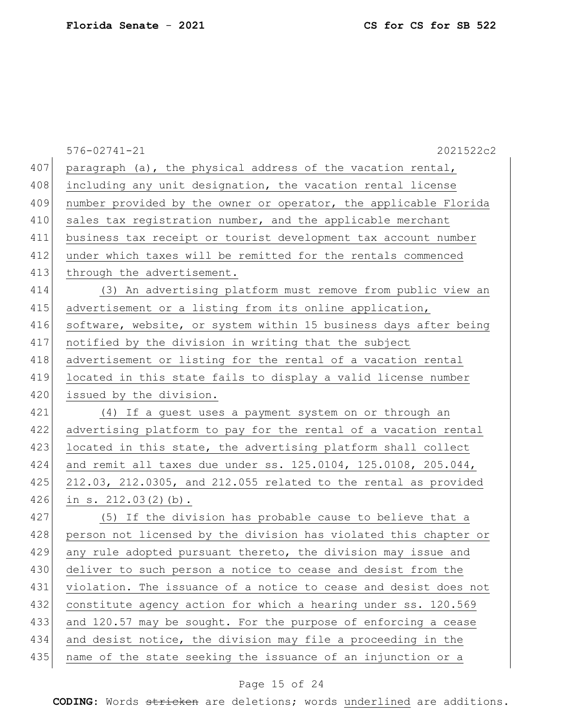|     | $576 - 02741 - 21$<br>2021522c2                                         |  |  |  |  |  |  |  |  |  |  |
|-----|-------------------------------------------------------------------------|--|--|--|--|--|--|--|--|--|--|
| 407 | paragraph (a), the physical address of the vacation rental,             |  |  |  |  |  |  |  |  |  |  |
| 408 | including any unit designation, the vacation rental license             |  |  |  |  |  |  |  |  |  |  |
| 409 | number provided by the owner or operator, the applicable Florida        |  |  |  |  |  |  |  |  |  |  |
| 410 | sales tax registration number, and the applicable merchant              |  |  |  |  |  |  |  |  |  |  |
| 411 | business tax receipt or tourist development tax account number          |  |  |  |  |  |  |  |  |  |  |
| 412 | under which taxes will be remitted for the rentals commenced            |  |  |  |  |  |  |  |  |  |  |
| 413 | through the advertisement.                                              |  |  |  |  |  |  |  |  |  |  |
| 414 | (3) An advertising platform must remove from public view an             |  |  |  |  |  |  |  |  |  |  |
| 415 | advertisement or a listing from its online application,                 |  |  |  |  |  |  |  |  |  |  |
| 416 | software, website, or system within 15 business days after being        |  |  |  |  |  |  |  |  |  |  |
| 417 | notified by the division in writing that the subject                    |  |  |  |  |  |  |  |  |  |  |
| 418 | advertisement or listing for the rental of a vacation rental            |  |  |  |  |  |  |  |  |  |  |
| 419 | located in this state fails to display a valid license number           |  |  |  |  |  |  |  |  |  |  |
| 420 | issued by the division.                                                 |  |  |  |  |  |  |  |  |  |  |
| 421 | (4) If a guest uses a payment system on or through an                   |  |  |  |  |  |  |  |  |  |  |
| 422 | advertising platform to pay for the rental of a vacation rental         |  |  |  |  |  |  |  |  |  |  |
| 423 | located in this state, the advertising platform shall collect           |  |  |  |  |  |  |  |  |  |  |
| 424 | and remit all taxes due under ss. 125.0104, 125.0108, 205.044,          |  |  |  |  |  |  |  |  |  |  |
| 425 | $212.03$ , $212.0305$ , and $212.055$ related to the rental as provided |  |  |  |  |  |  |  |  |  |  |
| 426 | in $s. 212.03(2)(b)$ .                                                  |  |  |  |  |  |  |  |  |  |  |
| 427 | (5) If the division has probable cause to believe that a                |  |  |  |  |  |  |  |  |  |  |
| 428 | person not licensed by the division has violated this chapter or        |  |  |  |  |  |  |  |  |  |  |
| 429 | any rule adopted pursuant thereto, the division may issue and           |  |  |  |  |  |  |  |  |  |  |
| 430 | deliver to such person a notice to cease and desist from the            |  |  |  |  |  |  |  |  |  |  |
| 431 | violation. The issuance of a notice to cease and desist does not        |  |  |  |  |  |  |  |  |  |  |
| 432 | constitute agency action for which a hearing under ss. 120.569          |  |  |  |  |  |  |  |  |  |  |
| 433 | and 120.57 may be sought. For the purpose of enforcing a cease          |  |  |  |  |  |  |  |  |  |  |
| 434 | and desist notice, the division may file a proceeding in the            |  |  |  |  |  |  |  |  |  |  |
| 435 | name of the state seeking the issuance of an injunction or a            |  |  |  |  |  |  |  |  |  |  |

# Page 15 of 24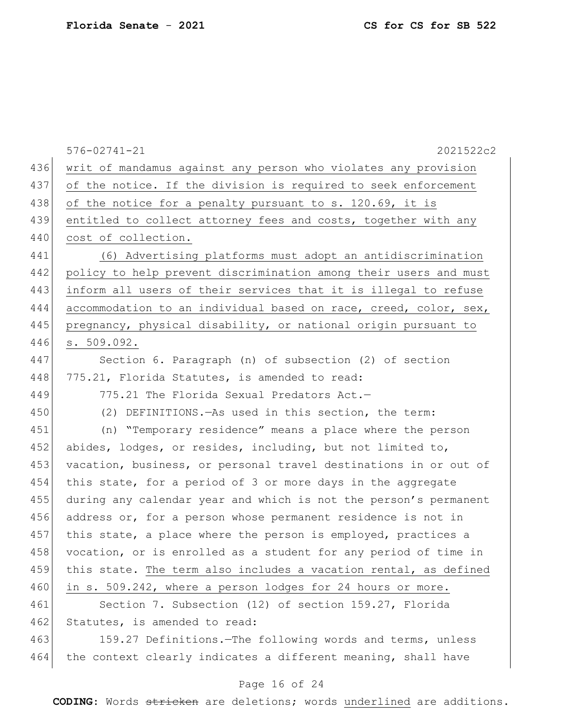|     | 2021522c2<br>$576 - 02741 - 21$                                  |  |  |  |  |  |  |  |  |  |  |
|-----|------------------------------------------------------------------|--|--|--|--|--|--|--|--|--|--|
| 436 | writ of mandamus against any person who violates any provision   |  |  |  |  |  |  |  |  |  |  |
| 437 | of the notice. If the division is required to seek enforcement   |  |  |  |  |  |  |  |  |  |  |
| 438 | of the notice for a penalty pursuant to s. 120.69, it is         |  |  |  |  |  |  |  |  |  |  |
| 439 | entitled to collect attorney fees and costs, together with any   |  |  |  |  |  |  |  |  |  |  |
| 440 | cost of collection.                                              |  |  |  |  |  |  |  |  |  |  |
| 441 | (6) Advertising platforms must adopt an antidiscrimination       |  |  |  |  |  |  |  |  |  |  |
| 442 | policy to help prevent discrimination among their users and must |  |  |  |  |  |  |  |  |  |  |
| 443 | inform all users of their services that it is illegal to refuse  |  |  |  |  |  |  |  |  |  |  |
| 444 | accommodation to an individual based on race, creed, color, sex, |  |  |  |  |  |  |  |  |  |  |
| 445 | pregnancy, physical disability, or national origin pursuant to   |  |  |  |  |  |  |  |  |  |  |
| 446 | s. 509.092.                                                      |  |  |  |  |  |  |  |  |  |  |
| 447 | Section 6. Paragraph (n) of subsection (2) of section            |  |  |  |  |  |  |  |  |  |  |
| 448 | 775.21, Florida Statutes, is amended to read:                    |  |  |  |  |  |  |  |  |  |  |
| 449 | 775.21 The Florida Sexual Predators Act.-                        |  |  |  |  |  |  |  |  |  |  |
| 450 | (2) DEFINITIONS. - As used in this section, the term:            |  |  |  |  |  |  |  |  |  |  |
| 451 | (n) "Temporary residence" means a place where the person         |  |  |  |  |  |  |  |  |  |  |
| 452 | abides, lodges, or resides, including, but not limited to,       |  |  |  |  |  |  |  |  |  |  |
| 453 | vacation, business, or personal travel destinations in or out of |  |  |  |  |  |  |  |  |  |  |
| 454 | this state, for a period of 3 or more days in the aggregate      |  |  |  |  |  |  |  |  |  |  |
| 455 | during any calendar year and which is not the person's permanent |  |  |  |  |  |  |  |  |  |  |
| 456 | address or, for a person whose permanent residence is not in     |  |  |  |  |  |  |  |  |  |  |
| 457 | this state, a place where the person is employed, practices a    |  |  |  |  |  |  |  |  |  |  |
| 458 | vocation, or is enrolled as a student for any period of time in  |  |  |  |  |  |  |  |  |  |  |
| 459 | this state. The term also includes a vacation rental, as defined |  |  |  |  |  |  |  |  |  |  |
| 460 | in s. 509.242, where a person lodges for 24 hours or more.       |  |  |  |  |  |  |  |  |  |  |
| 461 | Section 7. Subsection (12) of section 159.27, Florida            |  |  |  |  |  |  |  |  |  |  |
| 462 | Statutes, is amended to read:                                    |  |  |  |  |  |  |  |  |  |  |
| 463 | 159.27 Definitions. The following words and terms, unless        |  |  |  |  |  |  |  |  |  |  |
| 464 | the context clearly indicates a different meaning, shall have    |  |  |  |  |  |  |  |  |  |  |

# Page 16 of 24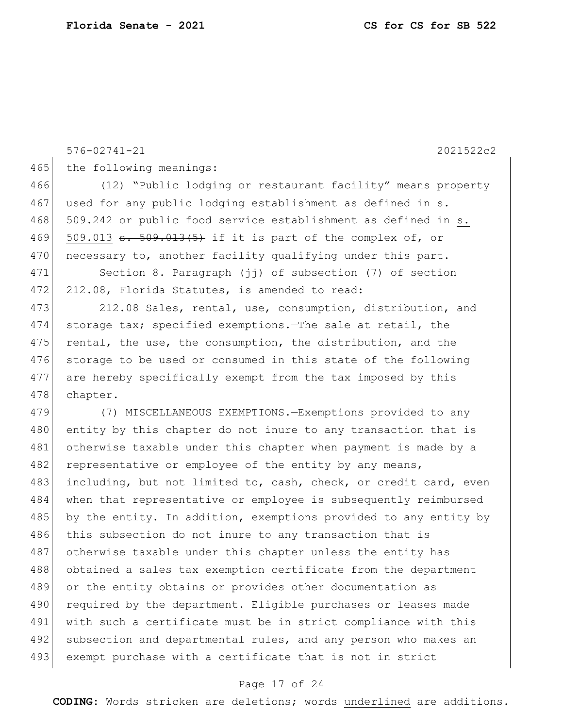465 the following meanings:

```
466 (12) "Public lodging or restaurant facility" means property 
467 used for any public lodging establishment as defined in s.
468 509.242 or public food service establishment as defined in s.
469 509.013 <del>s. 509.013(5)</del> if it is part of the complex of, or
470 necessary to, another facility qualifying under this part.
471 Section 8. Paragraph (jj) of subsection (7) of section 
472 212.08, Florida Statutes, is amended to read:
473 212.08 Sales, rental, use, consumption, distribution, and
474 storage tax; specified exemptions.—The sale at retail, the 
475 rental, the use, the consumption, the distribution, and the
476 storage to be used or consumed in this state of the following
477 are hereby specifically exempt from the tax imposed by this 
478 chapter.
479 (7) MISCELLANEOUS EXEMPTIONS.—Exemptions provided to any 
480 entity by this chapter do not inure to any transaction that is
481 otherwise taxable under this chapter when payment is made by a
482 representative or employee of the entity by any means,
483 including, but not limited to, cash, check, or credit card, even
484 when that representative or employee is subsequently reimbursed 
485 by the entity. In addition, exemptions provided to any entity by
486 this subsection do not inure to any transaction that is
487 otherwise taxable under this chapter unless the entity has
488 obtained a sales tax exemption certificate from the department 
489 or the entity obtains or provides other documentation as 
490 required by the department. Eligible purchases or leases made
491 with such a certificate must be in strict compliance with this
492 subsection and departmental rules, and any person who makes an
```
576-02741-21 2021522c2

#### Page 17 of 24

493 exempt purchase with a certificate that is not in strict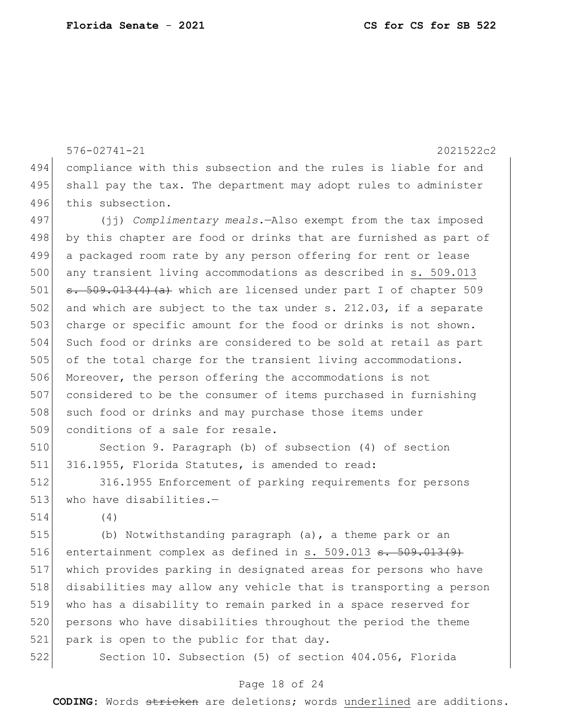```
576-02741-21 2021522c2
494 compliance with this subsection and the rules is liable for and 
495 shall pay the tax. The department may adopt rules to administer
496 this subsection.
497 (jj) Complimentary meals.—Also exempt from the tax imposed 
498 by this chapter are food or drinks that are furnished as part of
499 a packaged room rate by any person offering for rent or lease 
500 any transient living accommodations as described in s. 509.013
501 \sigma. 509.013(4)(a) which are licensed under part I of chapter 509
502 and which are subject to the tax under s. 212.03, if a separate
503 charge or specific amount for the food or drinks is not shown.
504 Such food or drinks are considered to be sold at retail as part 
505 of the total charge for the transient living accommodations.
506 Moreover, the person offering the accommodations is not 
507 considered to be the consumer of items purchased in furnishing 
508 such food or drinks and may purchase those items under
509 conditions of a sale for resale.
510 Section 9. Paragraph (b) of subsection (4) of section 
511 316.1955, Florida Statutes, is amended to read:
512 316.1955 Enforcement of parking requirements for persons 
513 who have disabilities.-514 (4)
515 (b) Notwithstanding paragraph (a), a theme park or an 
516 entertainment complex as defined in s. 509.013 \texttt{s. }509.013(9)517 which provides parking in designated areas for persons who have 
518 disabilities may allow any vehicle that is transporting a person 
519 who has a disability to remain parked in a space reserved for 
520 persons who have disabilities throughout the period the theme 
521 park is open to the public for that day.
522 Section 10. Subsection (5) of section 404.056, Florida
```
#### Page 18 of 24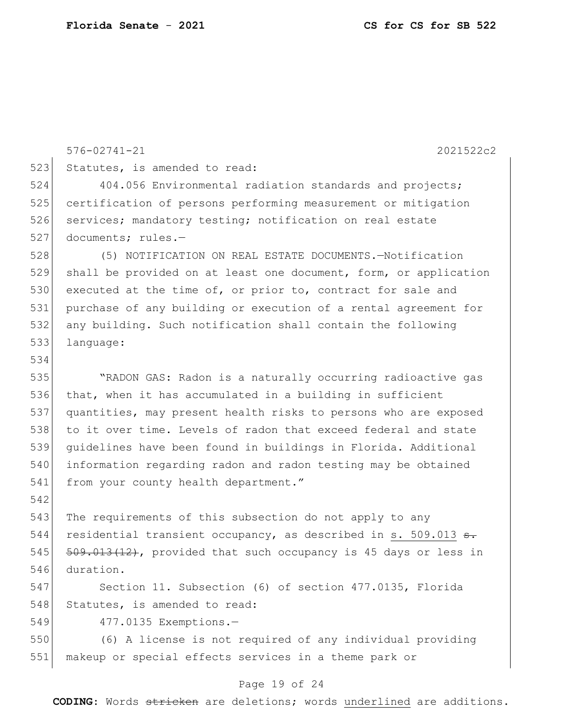|     | $576 - 02741 - 21$<br>2021522c2                                  |  |  |  |  |  |  |  |  |  |  |
|-----|------------------------------------------------------------------|--|--|--|--|--|--|--|--|--|--|
| 523 | Statutes, is amended to read:                                    |  |  |  |  |  |  |  |  |  |  |
| 524 | 404.056 Environmental radiation standards and projects;          |  |  |  |  |  |  |  |  |  |  |
| 525 | certification of persons performing measurement or mitigation    |  |  |  |  |  |  |  |  |  |  |
| 526 | services; mandatory testing; notification on real estate         |  |  |  |  |  |  |  |  |  |  |
| 527 | documents; rules.-                                               |  |  |  |  |  |  |  |  |  |  |
| 528 | (5) NOTIFICATION ON REAL ESTATE DOCUMENTS.-Notification          |  |  |  |  |  |  |  |  |  |  |
| 529 | shall be provided on at least one document, form, or application |  |  |  |  |  |  |  |  |  |  |
| 530 | executed at the time of, or prior to, contract for sale and      |  |  |  |  |  |  |  |  |  |  |
| 531 | purchase of any building or execution of a rental agreement for  |  |  |  |  |  |  |  |  |  |  |
| 532 | any building. Such notification shall contain the following      |  |  |  |  |  |  |  |  |  |  |
| 533 | language:                                                        |  |  |  |  |  |  |  |  |  |  |
| 534 |                                                                  |  |  |  |  |  |  |  |  |  |  |
| 535 | "RADON GAS: Radon is a naturally occurring radioactive gas       |  |  |  |  |  |  |  |  |  |  |
| 536 | that, when it has accumulated in a building in sufficient        |  |  |  |  |  |  |  |  |  |  |
| 537 | quantities, may present health risks to persons who are exposed  |  |  |  |  |  |  |  |  |  |  |
| 538 | to it over time. Levels of radon that exceed federal and state   |  |  |  |  |  |  |  |  |  |  |
| 539 | quidelines have been found in buildings in Florida. Additional   |  |  |  |  |  |  |  |  |  |  |
| 540 | information regarding radon and radon testing may be obtained    |  |  |  |  |  |  |  |  |  |  |
| 541 | from your county health department."                             |  |  |  |  |  |  |  |  |  |  |
| 542 |                                                                  |  |  |  |  |  |  |  |  |  |  |
| 543 | The requirements of this subsection do not apply to any          |  |  |  |  |  |  |  |  |  |  |
| 544 | residential transient occupancy, as described in s. 509.013 s.   |  |  |  |  |  |  |  |  |  |  |
| 545 | 509.013(12), provided that such occupancy is 45 days or less in  |  |  |  |  |  |  |  |  |  |  |
| 546 | duration.                                                        |  |  |  |  |  |  |  |  |  |  |
| 547 | Section 11. Subsection (6) of section 477.0135, Florida          |  |  |  |  |  |  |  |  |  |  |
| 548 | Statutes, is amended to read:                                    |  |  |  |  |  |  |  |  |  |  |
| 549 | 477.0135 Exemptions.-                                            |  |  |  |  |  |  |  |  |  |  |
| 550 | (6) A license is not required of any individual providing        |  |  |  |  |  |  |  |  |  |  |

551 makeup or special effects services in a theme park or

# Page 19 of 24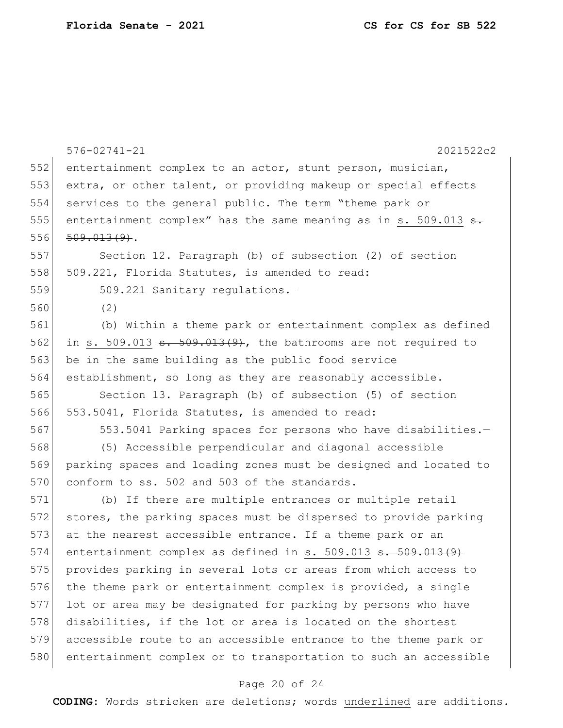|     | $576 - 02741 - 21$<br>2021522c2                                              |  |  |  |  |  |  |  |  |  |  |
|-----|------------------------------------------------------------------------------|--|--|--|--|--|--|--|--|--|--|
| 552 | entertainment complex to an actor, stunt person, musician,                   |  |  |  |  |  |  |  |  |  |  |
| 553 | extra, or other talent, or providing makeup or special effects               |  |  |  |  |  |  |  |  |  |  |
| 554 | services to the general public. The term "theme park or                      |  |  |  |  |  |  |  |  |  |  |
| 555 | entertainment complex" has the same meaning as in s. 509.013 <del>s.</del>   |  |  |  |  |  |  |  |  |  |  |
| 556 | $509.013(9)$ .                                                               |  |  |  |  |  |  |  |  |  |  |
| 557 | Section 12. Paragraph (b) of subsection (2) of section                       |  |  |  |  |  |  |  |  |  |  |
| 558 | 509.221, Florida Statutes, is amended to read:                               |  |  |  |  |  |  |  |  |  |  |
| 559 | 509.221 Sanitary regulations.-                                               |  |  |  |  |  |  |  |  |  |  |
| 560 | (2)                                                                          |  |  |  |  |  |  |  |  |  |  |
| 561 | (b) Within a theme park or entertainment complex as defined                  |  |  |  |  |  |  |  |  |  |  |
| 562 | in s. 509.013 $\frac{1}{50}$ = 509.013(9), the bathrooms are not required to |  |  |  |  |  |  |  |  |  |  |
| 563 | be in the same building as the public food service                           |  |  |  |  |  |  |  |  |  |  |
| 564 | establishment, so long as they are reasonably accessible.                    |  |  |  |  |  |  |  |  |  |  |
| 565 | Section 13. Paragraph (b) of subsection (5) of section                       |  |  |  |  |  |  |  |  |  |  |
| 566 | 553.5041, Florida Statutes, is amended to read:                              |  |  |  |  |  |  |  |  |  |  |
| 567 | 553.5041 Parking spaces for persons who have disabilities.-                  |  |  |  |  |  |  |  |  |  |  |
| 568 | (5) Accessible perpendicular and diagonal accessible                         |  |  |  |  |  |  |  |  |  |  |
| 569 | parking spaces and loading zones must be designed and located to             |  |  |  |  |  |  |  |  |  |  |
| 570 | conform to ss. 502 and 503 of the standards.                                 |  |  |  |  |  |  |  |  |  |  |
| 571 | (b) If there are multiple entrances or multiple retail                       |  |  |  |  |  |  |  |  |  |  |
| 572 | stores, the parking spaces must be dispersed to provide parking              |  |  |  |  |  |  |  |  |  |  |
| 573 | at the nearest accessible entrance. If a theme park or an                    |  |  |  |  |  |  |  |  |  |  |
| 574 | entertainment complex as defined in s. $509.013$ s. $509.013(9)$             |  |  |  |  |  |  |  |  |  |  |
| 575 | provides parking in several lots or areas from which access to               |  |  |  |  |  |  |  |  |  |  |
| 576 | the theme park or entertainment complex is provided, a single                |  |  |  |  |  |  |  |  |  |  |
| 577 | lot or area may be designated for parking by persons who have                |  |  |  |  |  |  |  |  |  |  |
| 578 | disabilities, if the lot or area is located on the shortest                  |  |  |  |  |  |  |  |  |  |  |
| 579 | accessible route to an accessible entrance to the theme park or              |  |  |  |  |  |  |  |  |  |  |
| 580 | entertainment complex or to transportation to such an accessible             |  |  |  |  |  |  |  |  |  |  |

# Page 20 of 24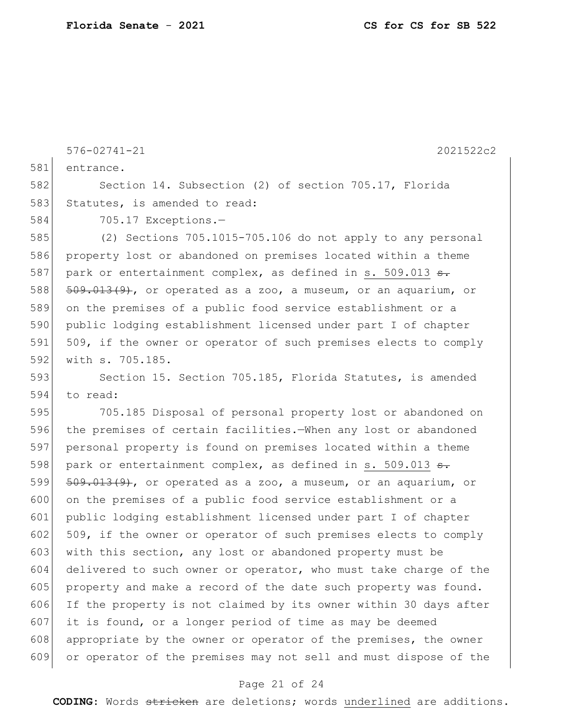576-02741-21 2021522c2 581 entrance. 582 Section 14. Subsection (2) of section 705.17, Florida 583 Statutes, is amended to read: 584 705.17 Exceptions.— 585 (2) Sections 705.1015-705.106 do not apply to any personal 586 property lost or abandoned on premises located within a theme 587 park or entertainment complex, as defined in s. 509.013  $\epsilon$ . 588 509.013(9), or operated as a zoo, a museum, or an aquarium, or 589 on the premises of a public food service establishment or a 590 public lodging establishment licensed under part I of chapter 591 509, if the owner or operator of such premises elects to comply 592 with s. 705.185. 593 Section 15. Section 705.185, Florida Statutes, is amended 594 to read: 595 705.185 Disposal of personal property lost or abandoned on 596 the premises of certain facilities.—When any lost or abandoned 597 personal property is found on premises located within a theme 598 park or entertainment complex, as defined in s. 509.013  $s$ . 599 509.013(9), or operated as a zoo, a museum, or an aquarium, or 600 on the premises of a public food service establishment or a 601 public lodging establishment licensed under part I of chapter 602 509, if the owner or operator of such premises elects to comply 603 with this section, any lost or abandoned property must be 604 delivered to such owner or operator, who must take charge of the 605 property and make a record of the date such property was found. 606 If the property is not claimed by its owner within 30 days after 607 it is found, or a longer period of time as may be deemed 608 appropriate by the owner or operator of the premises, the owner 609 or operator of the premises may not sell and must dispose of the

#### Page 21 of 24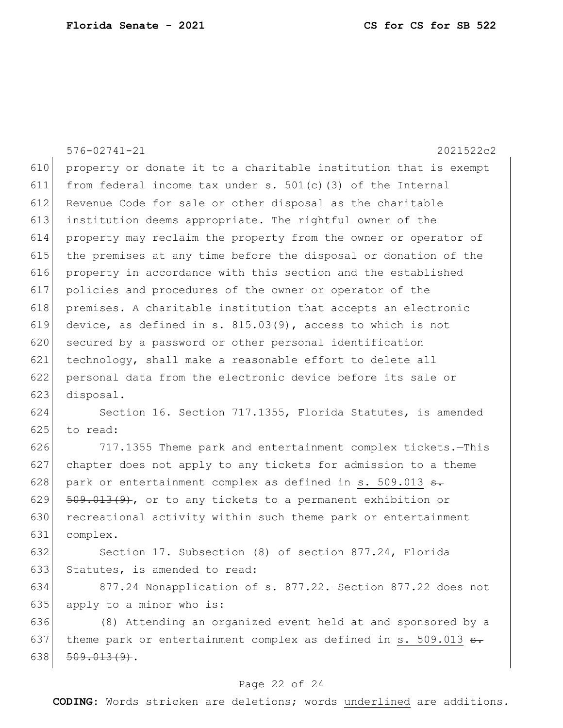|     | $576 - 02741 - 21$<br>2021522c2                                      |  |  |  |  |  |  |  |  |  |  |
|-----|----------------------------------------------------------------------|--|--|--|--|--|--|--|--|--|--|
| 610 | property or donate it to a charitable institution that is exempt     |  |  |  |  |  |  |  |  |  |  |
| 611 | from federal income tax under s. $501(c)$ (3) of the Internal        |  |  |  |  |  |  |  |  |  |  |
| 612 | Revenue Code for sale or other disposal as the charitable            |  |  |  |  |  |  |  |  |  |  |
| 613 | institution deems appropriate. The rightful owner of the             |  |  |  |  |  |  |  |  |  |  |
| 614 | property may reclaim the property from the owner or operator of      |  |  |  |  |  |  |  |  |  |  |
| 615 | the premises at any time before the disposal or donation of the      |  |  |  |  |  |  |  |  |  |  |
| 616 | property in accordance with this section and the established         |  |  |  |  |  |  |  |  |  |  |
| 617 | policies and procedures of the owner or operator of the              |  |  |  |  |  |  |  |  |  |  |
| 618 | premises. A charitable institution that accepts an electronic        |  |  |  |  |  |  |  |  |  |  |
| 619 | device, as defined in s. $815.03(9)$ , access to which is not        |  |  |  |  |  |  |  |  |  |  |
| 620 | secured by a password or other personal identification               |  |  |  |  |  |  |  |  |  |  |
| 621 | technology, shall make a reasonable effort to delete all             |  |  |  |  |  |  |  |  |  |  |
| 622 | personal data from the electronic device before its sale or          |  |  |  |  |  |  |  |  |  |  |
| 623 | disposal.                                                            |  |  |  |  |  |  |  |  |  |  |
| 624 | Section 16. Section 717.1355, Florida Statutes, is amended           |  |  |  |  |  |  |  |  |  |  |
| 625 | to read:                                                             |  |  |  |  |  |  |  |  |  |  |
| 626 | 717.1355 Theme park and entertainment complex tickets.-This          |  |  |  |  |  |  |  |  |  |  |
| 627 | chapter does not apply to any tickets for admission to a theme       |  |  |  |  |  |  |  |  |  |  |
| 628 | park or entertainment complex as defined in s. 509.013 <del>s.</del> |  |  |  |  |  |  |  |  |  |  |
| 629 | $509.013(9)$ , or to any tickets to a permanent exhibition or        |  |  |  |  |  |  |  |  |  |  |
| 630 | recreational activity within such theme park or entertainment        |  |  |  |  |  |  |  |  |  |  |
| 631 | complex.                                                             |  |  |  |  |  |  |  |  |  |  |
| 632 | Section 17. Subsection (8) of section 877.24, Florida                |  |  |  |  |  |  |  |  |  |  |
| 633 | Statutes, is amended to read:                                        |  |  |  |  |  |  |  |  |  |  |
| 634 | 877.24 Nonapplication of s. 877.22. Section 877.22 does not          |  |  |  |  |  |  |  |  |  |  |
| 635 | apply to a minor who is:                                             |  |  |  |  |  |  |  |  |  |  |
| 636 | (8) Attending an organized event held at and sponsored by a          |  |  |  |  |  |  |  |  |  |  |
| 637 | theme park or entertainment complex as defined in s. 509.013 s.      |  |  |  |  |  |  |  |  |  |  |
| 638 | $509.013(9)$ .                                                       |  |  |  |  |  |  |  |  |  |  |

# Page 22 of 24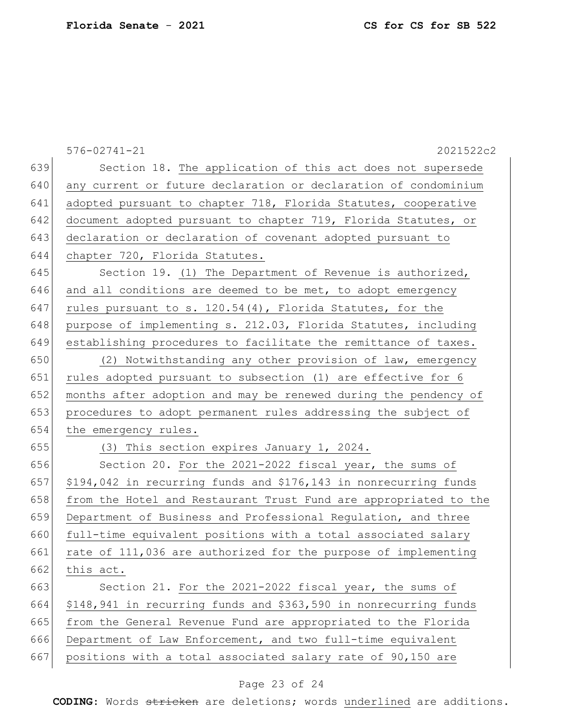|     | $576 - 02741 - 21$<br>2021522c2                                  |  |  |  |  |  |  |  |  |  |  |  |
|-----|------------------------------------------------------------------|--|--|--|--|--|--|--|--|--|--|--|
| 639 | Section 18. The application of this act does not supersede       |  |  |  |  |  |  |  |  |  |  |  |
| 640 | any current or future declaration or declaration of condominium  |  |  |  |  |  |  |  |  |  |  |  |
| 641 | adopted pursuant to chapter 718, Florida Statutes, cooperative   |  |  |  |  |  |  |  |  |  |  |  |
| 642 | document adopted pursuant to chapter 719, Florida Statutes, or   |  |  |  |  |  |  |  |  |  |  |  |
| 643 | declaration or declaration of covenant adopted pursuant to       |  |  |  |  |  |  |  |  |  |  |  |
| 644 | chapter 720, Florida Statutes.                                   |  |  |  |  |  |  |  |  |  |  |  |
| 645 | Section 19. (1) The Department of Revenue is authorized,         |  |  |  |  |  |  |  |  |  |  |  |
| 646 | and all conditions are deemed to be met, to adopt emergency      |  |  |  |  |  |  |  |  |  |  |  |
| 647 | rules pursuant to s. 120.54(4), Florida Statutes, for the        |  |  |  |  |  |  |  |  |  |  |  |
| 648 | purpose of implementing s. 212.03, Florida Statutes, including   |  |  |  |  |  |  |  |  |  |  |  |
| 649 | establishing procedures to facilitate the remittance of taxes.   |  |  |  |  |  |  |  |  |  |  |  |
| 650 | (2) Notwithstanding any other provision of law, emergency        |  |  |  |  |  |  |  |  |  |  |  |
| 651 | rules adopted pursuant to subsection (1) are effective for 6     |  |  |  |  |  |  |  |  |  |  |  |
| 652 | months after adoption and may be renewed during the pendency of  |  |  |  |  |  |  |  |  |  |  |  |
| 653 | procedures to adopt permanent rules addressing the subject of    |  |  |  |  |  |  |  |  |  |  |  |
| 654 | the emergency rules.                                             |  |  |  |  |  |  |  |  |  |  |  |
| 655 | (3) This section expires January 1, 2024.                        |  |  |  |  |  |  |  |  |  |  |  |
| 656 | Section 20. For the 2021-2022 fiscal year, the sums of           |  |  |  |  |  |  |  |  |  |  |  |
| 657 | \$194,042 in recurring funds and \$176,143 in nonrecurring funds |  |  |  |  |  |  |  |  |  |  |  |
| 658 | from the Hotel and Restaurant Trust Fund are appropriated to the |  |  |  |  |  |  |  |  |  |  |  |
| 659 | Department of Business and Professional Regulation, and three    |  |  |  |  |  |  |  |  |  |  |  |
| 660 | full-time equivalent positions with a total associated salary    |  |  |  |  |  |  |  |  |  |  |  |
| 661 | rate of 111,036 are authorized for the purpose of implementing   |  |  |  |  |  |  |  |  |  |  |  |
| 662 | this act.                                                        |  |  |  |  |  |  |  |  |  |  |  |
| 663 | Section 21. For the 2021-2022 fiscal year, the sums of           |  |  |  |  |  |  |  |  |  |  |  |
| 664 | \$148,941 in recurring funds and \$363,590 in nonrecurring funds |  |  |  |  |  |  |  |  |  |  |  |
| 665 | from the General Revenue Fund are appropriated to the Florida    |  |  |  |  |  |  |  |  |  |  |  |
| 666 | Department of Law Enforcement, and two full-time equivalent      |  |  |  |  |  |  |  |  |  |  |  |
| 667 | positions with a total associated salary rate of 90,150 are      |  |  |  |  |  |  |  |  |  |  |  |

# Page 23 of 24